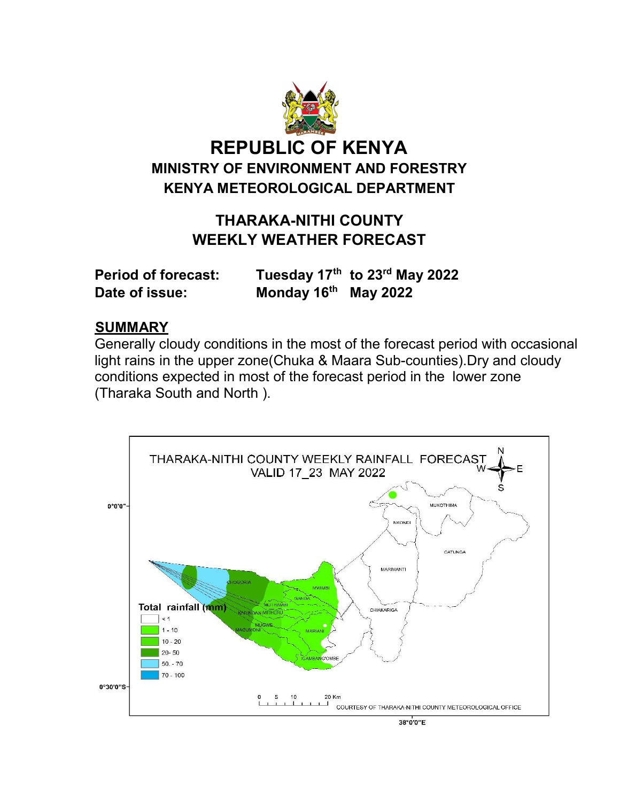

# THARAKA-NITHI COUNTY WEEKLY WEATHER FORECAST

| <b>Period of forecast:</b> |                        | Tuesday 17th to 23rd May 2022 |
|----------------------------|------------------------|-------------------------------|
| Date of issue:             | Monday $16th$ May 2022 |                               |

## **SUMMARY**

Generally cloudy conditions in the most of the forecast period with occasional light rains in the upper zone(Chuka & Maara Sub-counties).Dry and cloudy conditions expected in most of the forecast period in the lower zone (Tharaka South and North ).

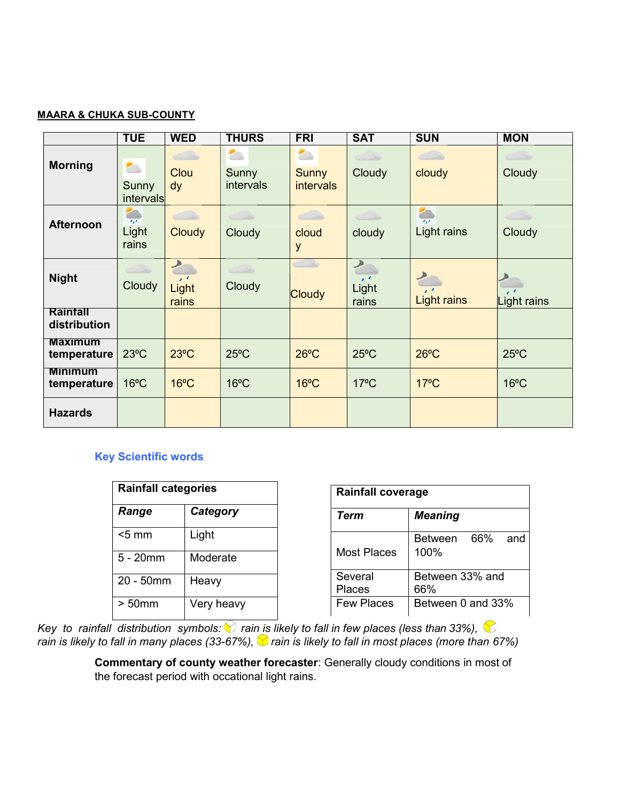#### MAARA & CHUKA SUB-COUNTY

|                               | <b>TUE</b>                                     | <b>WED</b>                  | <b>THURS</b>       | <b>FRI</b>                       | <b>SAT</b>                                         | <b>SUN</b>                                        | <b>MON</b>                             |
|-------------------------------|------------------------------------------------|-----------------------------|--------------------|----------------------------------|----------------------------------------------------|---------------------------------------------------|----------------------------------------|
| <b>Morning</b>                | $\overline{\phantom{a}}$<br>Sunny<br>intervals | $\sim$ $\sim$<br>Clou<br>dy | Sunny<br>intervals | <b>Sunny</b><br><b>intervals</b> | تحببت<br>Cloudy                                    | $\sim$<br>cloudy                                  | Cloudy                                 |
| <b>Afternoon</b>              | $\overline{I_1I_2}$<br>Light<br>rains          | Cloudy                      | $\sim$<br>Cloudy   | a S<br>cloud<br>y                | كالمستنب<br>cloudy                                 | <b>POST</b><br>$\overline{I_1I_2}$<br>Light rains | Cloudy                                 |
| <b>Night</b>                  | Cloudy                                         | $\bullet$<br>Light<br>rains | Cloudy             | <b>Cloudy</b>                    | $\rightarrow$<br>$\cdot$ $\cdot$<br>Light<br>rains | $\cdot$<br><b>Light rains</b>                     | $\overline{\mathbf{1}}$<br>Light rains |
| Rainfall<br>distribution      |                                                |                             |                    |                                  |                                                    |                                                   |                                        |
| <b>Maximum</b><br>temperature | $23^{\circ}$ C                                 | $23^{\circ}$ C              | $25^{\circ}$ C     | $26^{\circ}$ C                   | $25^{\circ}$ C                                     | $26^{\circ}$ C                                    | $25^{\circ}$ C                         |
| <b>Minimum</b><br>temperature | $16^{\circ}$ C                                 | $16^{\circ}$ C              | $16^{\circ}$ C     | $16^{\circ}$ C                   | $17^{\circ}$ C                                     | $17^{\circ}$ C                                    | $16^{\circ}$ C                         |
| <b>Hazards</b>                |                                                |                             |                    |                                  |                                                    |                                                   |                                        |

## Key Scientific words

| <b>Rainfall categories</b> |            |  |  |
|----------------------------|------------|--|--|
| Range                      | Category   |  |  |
| $<$ 5 mm                   | Light      |  |  |
| 5 - 20mm                   | Moderate   |  |  |
| 20 - 50mm                  | Heavy      |  |  |
| $> 50$ mm                  | Very heavy |  |  |

| <b>Rainfall coverage</b> |                               |  |  |  |
|--------------------------|-------------------------------|--|--|--|
| Term                     | <b>Meaning</b>                |  |  |  |
| Most Places              | 66%<br>Between<br>and<br>100% |  |  |  |
| Several<br><b>Places</b> | Between 33% and<br>66%        |  |  |  |
| <b>Few Places</b>        | Between 0 and 33%             |  |  |  |

Key to rainfall distribution symbols:  $\bigcirc$  rain is likely to fall in few places (less than 33%),  $\bigcirc$ rain is likely to fall in many places (33-67%),  $\bigcirc$  rain is likely to fall in most places (more than 67%)

> Commentary of county weather forecaster: Generally cloudy conditions in most of the forecast period with occational light rains.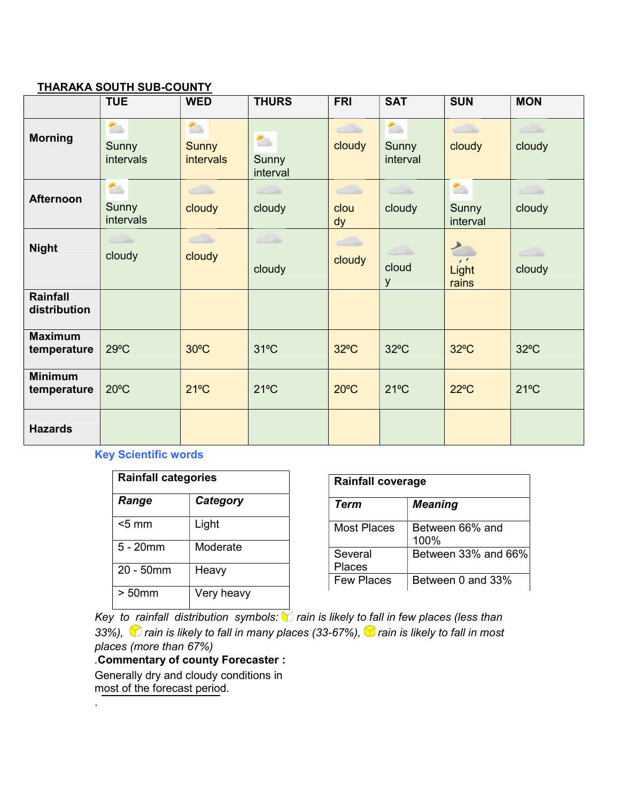#### THARAKA SOUTH SUB-COUNTY

|                                 | <b>TUE</b>                                     | <b>WED</b>                                            | <b>THURS</b>                                  | <b>FRI</b>                             | <b>SAT</b>             | <b>SUN</b>                             | <b>MON</b>                             |
|---------------------------------|------------------------------------------------|-------------------------------------------------------|-----------------------------------------------|----------------------------------------|------------------------|----------------------------------------|----------------------------------------|
| <b>Morning</b>                  | $\overline{\phantom{a}}$<br>Sunny<br>intervals | $\overline{\phantom{a}}$<br>Sunny<br><b>intervals</b> | $\overline{\phantom{a}}$<br>Sunny<br>interval | cloudy                                 | ≛<br>Sunny<br>interval | $\overline{\phantom{a}}$<br>cloudy     | $\left\langle \right\rangle$<br>cloudy |
| <b>Afternoon</b>                | $\overline{\phantom{a}}$<br>Sunny<br>intervals | ذک<br>cloudy                                          | $\overline{\phantom{a}}$<br>cloudy            | $\overline{\phantom{a}}$<br>clou<br>dy | $\leftarrow$<br>cloudy | 合<br>Sunny<br>interval                 | $\leftarrow$<br>cloudy                 |
| <b>Night</b>                    | cloudy                                         | $\leftarrow$<br>cloudy                                | cloudy                                        | $\bigcirc$<br>cloudy                   | cloud<br>y             | P<br>$\cdot$ $\cdot$<br>Light<br>rains | cloudy                                 |
| <b>Rainfall</b><br>distribution |                                                |                                                       |                                               |                                        |                        |                                        |                                        |
| <b>Maximum</b><br>temperature   | $29^{\circ}$ C                                 | $30^{\circ}$ C                                        | $31^{\circ}$ C                                | $32^{\circ}$ C                         | $32^{\circ}$ C         | $32^{\circ}$ C                         | $32^{\circ}$ C                         |
| <b>Minimum</b><br>temperature   | $20^{\circ}$ C                                 | $21^{\circ}$ C                                        | $21^{\circ}$ C                                | $20^{\circ}$ C                         | $21^{\circ}$ C         | $22^{\circ}$ C                         | $21^{\circ}$ C                         |
| <b>Hazards</b>                  |                                                |                                                       |                                               |                                        |                        |                                        |                                        |

## Key Scientific words

| <b>Rainfall categories</b> |            |  |  |
|----------------------------|------------|--|--|
| Range                      | Category   |  |  |
| $<$ 5 mm                   | Light      |  |  |
| $5 - 20$ mm                | Moderate   |  |  |
| $20 - 50$ mm               | Heavy      |  |  |
| $> 50$ mm                  | Very heavy |  |  |

| <b>Rainfall coverage</b> |                         |  |  |
|--------------------------|-------------------------|--|--|
| Term                     | <b>Meaning</b>          |  |  |
| Most Places              | Between 66% and<br>100% |  |  |
| Several<br>Places        | Between 33% and 66%     |  |  |
| <b>Few Places</b>        | Between 0 and 33%       |  |  |

 $\frac{1}{1-\epsilon}$  Key to rainfall distribution symbols:  $\bullet$  rain is likely to fall in few places (less than 33%),  $\bigcirc$  rain is likely to fall in many places (33-67%),  $\bigcirc$  rain is likely to fall in most places (more than 67%)

## .Commentary of county Forecaster :

Generally dry and cloudy conditions in most of the forecast period.

.